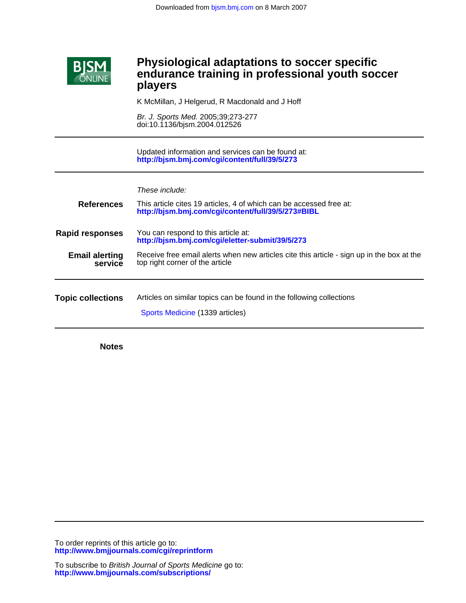

## Ī **players endurance training in professional youth soccer Physiological adaptations to soccer specific**

K McMillan, J Helgerud, R Macdonald and J Hoff

doi:10.1136/bjsm.2004.012526 Br. J. Sports Med. 2005;39;273-277

**<http://bjsm.bmj.com/cgi/content/full/39/5/273>** Updated information and services can be found at:

These include:

| <b>References</b>                | This article cites 19 articles, 4 of which can be accessed free at:<br>http://bjsm.bmj.com/cgi/content/full/39/5/273#BIBL    |
|----------------------------------|------------------------------------------------------------------------------------------------------------------------------|
| <b>Rapid responses</b>           | You can respond to this article at:<br>http://bjsm.bmj.com/cgi/eletter-submit/39/5/273                                       |
| <b>Email alerting</b><br>service | Receive free email alerts when new articles cite this article - sign up in the box at the<br>top right corner of the article |
| <b>Topic collections</b>         | Articles on similar topics can be found in the following collections<br>Sports Medicine (1339 articles)                      |

**Notes**

**<http://www.bmjjournals.com/cgi/reprintform>** To order reprints of this article go to: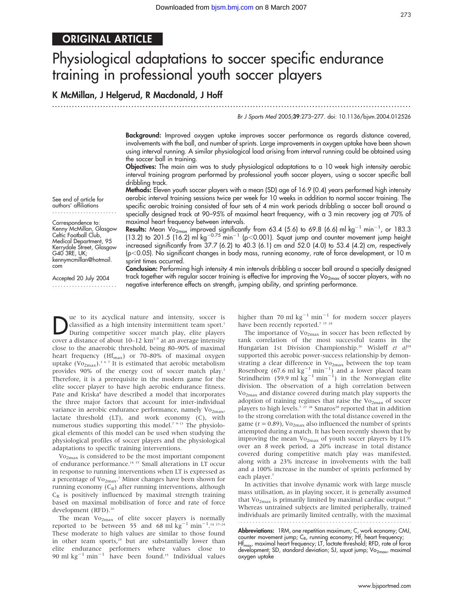# ORIGINAL ARTICLE

# Physiological adaptations to soccer specific endurance training in professional youth soccer players

## K McMillan, J Helgerud, R Macdonald, J Hoff

...............................................................................................................................

Br J Sports Med 2005;39:273–277. doi: 10.1136/bjsm.2004.012526

Background: Improved oxygen uptake improves soccer performance as regards distance covered, involvements with the ball, and number of sprints. Large improvements in oxygen uptake have been shown using interval running. A similar physiological load arising from interval running could be obtained using the soccer ball in training.

Objectives: The main aim was to study physiological adaptations to a 10 week high intensity aerobic interval training program performed by professional youth soccer players, using a soccer specific ball dribbling track.

Methods: Eleven youth soccer players with a mean (SD) age of 16.9 (0.4) years performed high intensity aerobic interval training sessions twice per week for 10 weeks in addition to normal soccer training. The specific aerobic training consisted of four sets of 4 min work periods dribbling a soccer ball around a specially designed track at 90–95% of maximal heart frequency, with a 3 min recovery jog at 70% of maximal heart frequency between intervals.

**Results:** Mean Vo<sub>2max</sub> improved significantly from 63.4 (5.6) to 69.8 (6.6) ml kg<sup>-1</sup> min<sup>-1</sup>, or 183.3 (13.2) to 201.5 (16.2) ml kg<sup>-0.75</sup> min<sup>-1</sup> (p<0.001). Squat jump and counter movement jump height increased significantly from 37.7 (6.2) to 40.3 (6.1) cm and 52.0 (4.0) to 53.4 (4.2) cm, respectively (p,0.05). No significant changes in body mass, running economy, rate of force development, or 10 m sprint times occurred.

Conclusion: Performing high intensity 4 min intervals dribbling a soccer ball around a specially designed track together with regular soccer training is effective for improving the  $Vo_{2max}$  of soccer players, with no negative interference effects on strength, jumping ability, and sprinting performance.

See end of article for authors' affiliations .......................

Correspondence to: Kenny McMillan, Glasgow Celtic Football Club, Medical Department, 95 Kerrydale Street, Glasgow G40 3RE, UK; kennymcmillan@hotmail. com

Accepted 20 July 2004 .......................

Due to its acyclical nature and intensity, soccer is<br>During competitive soccer match play, elite players<br>sexual distance of short 10, 13 km<sup>25</sup> at an unit intensity classified as a high intensity intermittent team sport.<sup>1</sup> cover a distance of about  $10-12 \text{ km}^{2-5}$  at an average intensity close to the anaerobic threshold, being 80–90% of maximal heart frequency ( $\text{Hf}_{\text{max}}$ ) or 70–80% of maximal oxygen uptake ( $\text{Vo}_{2\text{max}}$ ).<sup>367</sup> It is estimated that aerobic metabolism provides 90% of the energy cost of soccer match play.<sup>1</sup> Therefore, it is a prerequisite in the modern game for the elite soccer player to have high aerobic endurance fitness. Pate and Kriska<sup>8</sup> have described a model that incorporates the three major factors that account for inter-individual variance in aerobic endurance performance, namely  $Vo_{2max}$ , lactate threshold (LT), and work economy (C), with numerous studies supporting this model.<sup>7 9-13</sup> The physiological elements of this model can be used when studying the physiological profiles of soccer players and the physiological adaptations to specific training interventions.

Vo2max is considered to be the most important component of endurance performance.14 15 Small alterations in LT occur in response to running interventions when LT is expressed as a percentage of Vo<sub>2max</sub>.<sup>7</sup> Minor changes have been shown for running economy  $(C_R)$  after running interventions, although  $C_R$  is positively influenced by maximal strength training based on maximal mobilisation of force and rate of force development (RFD).<sup>16</sup>

The mean  $Vo_{2max}$  of elite soccer players is normally reported to be between 55 and 68 ml  $\text{kg}^{-1}$  min<sup>-1</sup>.<sup>14 17-24</sup> These moderate to high values are similar to those found in other team sports,<sup>25</sup> but are substantially lower than elite endurance performers where values close to 90 ml  $kg^{-1}$  min<sup>-1</sup> have been found.<sup>15</sup> Individual values higher than 70 ml  $kg^{-1}$  min<sup>-1</sup> for modern soccer players have been recently reported.<sup>7 15 24</sup>

The importance of  $Vo_{2max}$  in soccer has been reflected by rank correlation of the most successful teams in the Hungarian 1st Division Championship.<sup>26</sup> Wisløff et al<sup>24</sup> supported this aerobic power-success relationship by demonstrating a clear difference in  $Vo_{2max}$  between the top team Rosenborg (67.6 ml kg<sup>-1</sup> min<sup>-1</sup>) and a lower placed team<br>Strindheim (59.9 ml kg<sup>-1</sup> min<sup>-1</sup>) in the Norwegian elite division. The observation of a high correlation between Vo2max and distance covered during match play supports the adoption of training regimes that raise the  $Vo_{2max}$  of soccer players to high levels.<sup>7</sup> <sup>27</sup> <sup>28</sup> Smaros<sup>28</sup> reported that in addition to the strong correlation with the total distance covered in the game ( $r = 0.89$ ), Vo<sub>2max</sub> also influenced the number of sprints attempted during a match. It has been recently shown that by improving the mean  $Vo_{2max}$  of youth soccer players by 11% over an 8 week period, a 20% increase in total distance covered during competitive match play was manifested, along with a 23% increase in involvements with the ball and a 100% increase in the number of sprints performed by each player.7

In activities that involve dynamic work with large muscle mass utilisation, as in playing soccer, it is generally assumed that  $Vo_{2max}$  is primarily limited by maximal cardiac output.<sup>29</sup> Whereas untrained subjects are limited peripherally, trained individuals are primarily limited centrally, with the maximal 

**Abbreviations:** 1RM, one repetition maximum; C, work economy; CMJ, counter movement jump;  $C_{\mathsf{R}}$ , running economy; Ht, heart frequency; Hf<sub>max</sub>, maximal heart frequency; LT, lactate threshold; RFD, rate of force development; SD, standard deviation; SJ, squat jump;  $Vo_{2max}$ , maximal oxygen uptake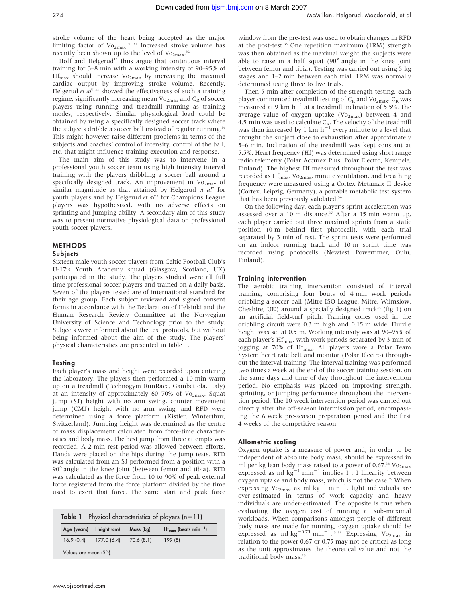stroke volume of the heart being accepted as the major limiting factor of  $Vo_{2max}$ .<sup>30 31</sup> Increased stroke volume has recently been shown up to the level of  $\mathrm{Vo}_{2\mathrm{max}}$ .<sup>32</sup>

Hoff and Helgerud<sup>15</sup> thus argue that continuous interval training for 3–8 min with a working intensity of 90–95% of  $Hf_{\text{max}}$  should increase Vo<sub>2max</sub> by increasing the maximal cardiac output by improving stroke volume. Recently, Helgerud et  $a^{\gamma}$ <sup>33</sup> showed the effectiveness of such a training regime, significantly increasing mean  $\mathrm{Vo}_{2\text{max}}$  and  $\mathrm{C}_{\mathrm{R}}$  of soccer players using running and treadmill running as training modes, respectively. Similar physiological load could be obtained by using a specifically designed soccer track where the subjects dribble a soccer ball instead of regular running.<sup>34</sup> This might however raise different problems in terms of the subjects and coaches' control of intensity, control of the ball, etc, that might influence training execution and response.

The main aim of this study was to intervene in a professional youth soccer team using high intensity interval training with the players dribbling a soccer ball around a specifically designed track. An improvement in  $Vo_{2max}$  of similar magnitude as that attained by Helgerud et  $al^7$  for youth players and by Helgerud et al<sup>33</sup> for Champions League players was hypothesised, with no adverse effects on sprinting and jumping ability. A secondary aim of this study was to present normative physiological data on professional youth soccer players.

#### **METHODS**

#### Subjects

Sixteen male youth soccer players from Celtic Football Club's U-17's Youth Academy squad (Glasgow, Scotland, UK) participated in the study. The players studied were all full time professional soccer players and trained on a daily basis. Seven of the players tested are of international standard for their age group. Each subject reviewed and signed consent forms in accordance with the Declaration of Helsinki and the Human Research Review Committee at the Norwegian University of Science and Technology prior to the study. Subjects were informed about the test protocols, but without being informed about the aim of the study. The players' physical characteristics are presented in table 1.

#### **Testing**

Each player's mass and height were recorded upon entering the laboratory. The players then performed a 10 min warm up on a treadmill (Technogym RunRace, Gambettola, Italy) at an intensity of approximately 60–70% of  $Vo_{2max}$ . Squat jump (SJ) height with no arm swing, counter movement jump (CMJ) height with no arm swing, and RFD were determined using a force platform (Kistler, Winterthur, Switzerland). Jumping height was determined as the centre of mass displacement calculated from force-time characteristics and body mass. The best jump from three attempts was recorded. A 2 min rest period was allowed between efforts. Hands were placed on the hips during the jump tests. RFD was calculated from an SJ performed from a position with a 90˚angle in the knee joint (between femur and tibia). RFD was calculated as the force from 10 to 90% of peak external force registered from the force platform divided by the time used to exert that force. The same start and peak force

| Table 1 Physical characteristics of players $(n = 11)$ |                         |           |                                              |  |  |
|--------------------------------------------------------|-------------------------|-----------|----------------------------------------------|--|--|
| Age (years)                                            | Height (cm)             | Mass (kg) | $Hf_{\text{max}}$ (beats min <sup>-1</sup> ) |  |  |
|                                                        | $16.9(0.4)$ 177.0 (6.4) | 70.6(8.1) | 199 (8)                                      |  |  |
| Values are mean (SD).                                  |                         |           |                                              |  |  |

window from the pre-test was used to obtain changes in RFD at the post-test.<sup>35</sup> One repetition maximum (1RM) strength was then obtained as the maximal weight the subjects were able to raise in a half squat (90˚ angle in the knee joint between femur and tibia). Testing was carried out using 5 kg stages and 1–2 min between each trial. 1RM was normally determined using three to five trials.

Then 5 min after completion of the strength testing, each player commenced treadmill testing of  $\mathsf{C}_\mathsf{R}$  and  $\mathsf{Vo}_{\mathsf{2max}}.$   $\mathsf{C}_\mathsf{R}$  was measured at 9 km  $h^{-1}$  at a treadmill inclination of 5.5%. The average value of oxygen uptake  $({\rm Vo}_{2\rm max})$  between 4 and 4.5 min was used to calculate C<sub>R</sub>. The velocity of the treadmill<br>was then increased by 1 km h<sup>-1</sup> every minute to a level that brought the subject close to exhaustion after approximately 5–6 min. Inclination of the treadmill was kept constant at 5.5%. Heart frequency (Hf) was determined using short range radio telemetry (Polar Accurex Plus, Polar Electro, Kempele, Finland). The highest Hf measured throughout the test was recorded as  $\text{Hf}_{\text{max}}$ . Vo<sub>2max</sub>, minute ventilation, and breathing frequency were measured using a Cortex Metamax II device (Cortex, Leipzig, Germany), a portable metabolic test system that has been previously validated.<sup>36</sup>

On the following day, each player's sprint acceleration was assessed over a 10 m distance.<sup>37</sup> After a 15 min warm up, each player carried out three maximal sprints from a static position (0 m behind first photocell), with each trial separated by 3 min of rest. The sprint tests were performed on an indoor running track and 10 m sprint time was recorded using photocells (Newtest Powertimer, Oulu, Finland).

#### Training intervention

The aerobic training intervention consisted of interval training, comprising four bouts of 4 min work periods dribbling a soccer ball (Mitre ISO League, Mitre, Wilmslow, Cheshire, UK) around a specially designed track<sup>34</sup> (fig 1) on an artificial field-turf pitch. Training cones used in the dribbling circuit were 0.3 m high and 0.15 m wide. Hurdle height was set at 0.5 m. Working intensity was at 90–95% of each player's Hf<sub>max</sub>, with work periods separated by 3 min of jogging at 70% of Hf<sub>max</sub>. All players wore a Polar Team System heart rate belt and monitor (Polar Electro) throughout the interval training. The interval training was performed two times a week at the end of the soccer training session, on the same days and time of day throughout the intervention period. No emphasis was placed on improving strength, sprinting, or jumping performance throughout the intervention period. The 10 week intervention period was carried out directly after the off-season intermission period, encompassing the 6 week pre-season preparation period and the first 4 weeks of the competitive season.

#### Allometric scaling

Oxygen uptake is a measure of power and, in order to be independent of absolute body mass, should be expressed in ml per kg lean body mass raised to a power of 0.67.<sup>38</sup> Vo<sub>2max</sub> expressed as ml  $kg^{-1}$  min<sup>-1</sup> implies 1 : 1 linearity between oxygen uptake and body mass, which is not the case.<sup>39</sup> When expressing  $\text{Vo}_{2\text{max}}$  as ml kg<sup>-1</sup> min<sup>-1</sup>, light individuals are over-estimated in terms of work capacity and heavy individuals are under-estimated. The opposite is true when evaluating the oxygen cost of running at sub-maximal workloads. When comparisons amongst people of different body mass are made for running, oxygen uptake should be expressed as ml kg<sup>-0.75</sup> min<sup>-1</sup>.<sup>13</sup> <sup>39</sup> Expressing Vo<sub>2max</sub> in relation to the power 0.67 or 0.75 may not be critical as long as the unit approximates the theoretical value and not the traditional body mass.<sup>13</sup>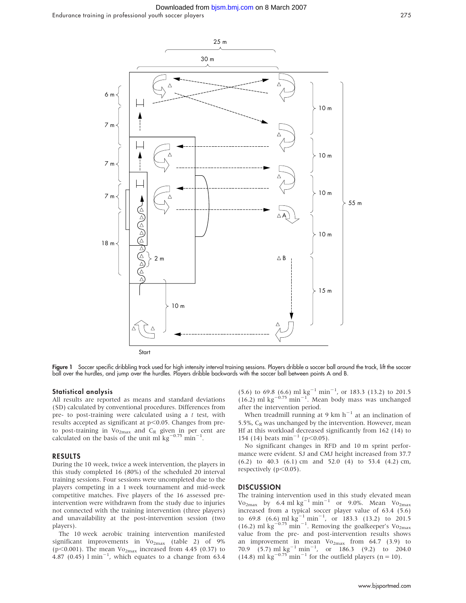#### Downloaded from [bjsm.bmj.com](http://bjsm.bmj.com) on 8 March 2007

Endurance training in professional youth soccer players 275



Figure 1 Soccer specific dribbling track used for high intensity interval training sessions. Players dribble a soccer ball around the track, lift the soccer ball over the hurdles, and jump over the hurdles. Players dribble backwards with the soccer ball between points A and B.

#### Statistical analysis

All results are reported as means and standard deviations (SD) calculated by conventional procedures. Differences from pre- to post-training were calculated using a t test, with results accepted as significant at  $p<0.05$ . Changes from preto post-training in  $Vo_{2max}$  and  $C_R$  given in per cent are calculated on the basis of the unit ml  $\text{kg}^{-0.75}$  min<sup>-1</sup>.

#### RESULTS

During the 10 week, twice a week intervention, the players in this study completed 16 (80%) of the scheduled 20 interval training sessions. Four sessions were uncompleted due to the players competing in a 1 week tournament and mid-week competitive matches. Five players of the 16 assessed preintervention were withdrawn from the study due to injuries not connected with the training intervention (three players) and unavailability at the post-intervention session (two players).

The 10 week aerobic training intervention manifested significant improvements in  $Vo_{2max}$  (table 2) of 9% (p<0.001). The mean  $Vo_{2max}$  increased from 4.45 (0.37) to  $4.87$  (0.45)  $1 \text{ min}^{-1}$ , which equates to a change from 63.4

 $(5.6)$  to 69.8 (6.6) ml kg<sup>-1</sup> min<sup>-1</sup>, or 183.3 (13.2) to 201.5 (16.2) ml kg<sup>-0.75</sup> min<sup>-1</sup>. Mean body mass was unchanged after the intervention period.

When treadmill running at 9 km  $h^{-1}$  at an inclination of 5.5%,  $C_R$  was unchanged by the intervention. However, mean Hf at this workload decreased significantly from 162 (14) to 154 (14) beats min<sup>-1</sup> (p $<$ 0.05).

No significant changes in RFD and 10 m sprint performance were evident. SJ and CMJ height increased from 37.7 (6.2) to 40.3 (6.1) cm and 52.0 (4) to 53.4 (4.2) cm, respectively  $(p<0.05)$ .

#### **DISCUSSION**

The training intervention used in this study elevated mean Vo<sub>2max</sub> by 6.4 ml  $\text{kg}^{-1}$  min<sup>-1</sup> or 9.0%. Mean Vo<sub>2max</sub> increased from a typical soccer player value of 63.4 (5.6) to 69.8 (6.6) ml kg<sup>-1</sup> min<sup>-1</sup>, or 183.3 (13.2) to 201.5 (16.2) ml kg<sup>-0.75</sup> min<sup>-1</sup>. Removing the goalkeeper's Vo<sub>2max</sub> value from the pre- and post-intervention results shows an improvement in mean  $Vo_{2max}$  from 64.7 (3.9) to 70.9 (5.7) ml kg<sup>-1</sup> min<sup>-1</sup>, or 186.3 (9.2) to 204.0 (14.8) ml kg<sup>-0.75</sup> min<sup>-1</sup> for the outfield players (n = 10).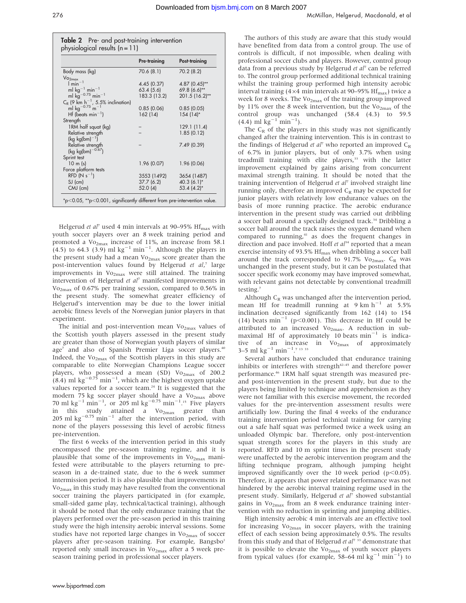|                                                                                           | Pre-training | Post-training  |
|-------------------------------------------------------------------------------------------|--------------|----------------|
| Body mass (kg)                                                                            | 70.6 (8.1)   | 70.2 (8.2)     |
| Vo <sub>2max</sub>                                                                        |              |                |
| $1 min-1$                                                                                 | 4.45 (0.37)  | 4.87 (0.45)**  |
| ml $kg^{-1}$ min <sup>-1</sup>                                                            | 63.4 (5.6)   | 69.8 (6.6)**   |
| ml $kg^{-0.75}$ min <sup>-1</sup>                                                         | 183.3 (13.2) | 201.5 (16.2)** |
|                                                                                           |              |                |
| $C_R$ (9 km h <sup>-1</sup> , 5.5% inclination)<br>ml kg <sup>-0.75</sup> m <sup>-1</sup> | 0.85(0.06)   | 0.85(0.05)     |
| $Hf$ (beats min <sup>-1</sup> )                                                           | 162(14)      | $154(14)$ *    |
| Strength                                                                                  |              |                |
| 1RM half squat (kg)                                                                       |              | 129.1 (11.4)   |
| Relative strength                                                                         |              | 1.85(0.12)     |
| $(kg kg(bm)^{-1})$                                                                        |              |                |
| Relative strength                                                                         |              | 7.49 (0.39)    |
| $\frac{\log \log(bm)^{-0.67}}{}$                                                          |              |                |
| Sprint test                                                                               |              |                |
| $10 \; m \; (s)$                                                                          | 1.96 (0.07)  | 1.96 (0.06)    |
| Force platform tests                                                                      |              |                |
| $RFD (N s^{-1})$                                                                          | 3553 (1492)  | 3654 (1487)    |
| $SJ$ (cm)                                                                                 | 37.7 (6.2)   | 40.3 (6.1)*    |
| $CMJ$ (cm)                                                                                | 52.0(4)      | $53.4(4.2)$ *  |

Helgerud et al<sup>7</sup> used 4 min intervals at 90–95%  $\text{Hf}_{\text{max}}$  with youth soccer players over an 8 week training period and promoted a Vo<sub>2max</sub> increase of 11%, an increase from 58.1  $(4.5)$  to 64.3 (3.9) ml kg<sup>-1</sup> min<sup>-1</sup>. Although the players in the present study had a mean Vo<sub>2max</sub> score greater than the post-intervention values found by Helgerud et al,<sup>7</sup> large improvements in  $Vo_{2max}$  were still attained. The training intervention of Helgerud et al<sup>7</sup> manifested improvements in Vo2max of 0.67% per training session, compared to 0.56% in the present study. The somewhat greater efficiency of Helgerud's intervention may be due to the lower initial aerobic fitness levels of the Norwegian junior players in that experiment.

The initial and post-intervention mean  $Vo_{2max}$  values of the Scottish youth players assessed in the present study are greater than those of Norwegian youth players of similar age<sup>7</sup> and also of Spanish Premier Liga soccer players.<sup>40</sup> Indeed, the  $Vo_{2max}$  of the Scottish players in this study are comparable to elite Norwegian Champions League soccer players, who possessed a mean (SD)  $\text{Vo}_{2\text{max}}$  of 200.2  $(8.4)$  ml kg<sup>-0.75</sup> min<sup>-1</sup>, which are the highest oxygen uptake values reported for a soccer team. $24$  It is suggested that the modern 75 kg soccer player should have a Vo<sub>2max</sub> above 70 ml kg<sup>-1</sup> min<sup>-1</sup>, or 205 ml kg<sup>-0.75</sup> min<sup>-1</sup>.<sup>15</sup> Five players in this study attained a Vo<sub>2max</sub> greater than<br>205 ml kg<sup>-0.75</sup> min<sup>-1</sup> after the intervention period, with none of the players possessing this level of aerobic fitness pre-intervention.

The first 6 weeks of the intervention period in this study encompassed the pre-season training regime, and it is plausible that some of the improvements in  $Vo_{2max}$  manifested were attributable to the players returning to preseason in a de-trained state, due to the 6 week summer intermission period. It is also plausible that improvements in  $Vo_{2max}$  in this study may have resulted from the conventional soccer training the players participated in (for example, small-sided game play, technical/tactical training), although it should be noted that the only endurance training that the players performed over the pre-season period in this training study were the high intensity aerobic interval sessions. Some studies have not reported large changes in  $Vo_{2max}$  of soccer players after pre-season training. For example, Bangsbo<sup>1</sup> reported only small increases in  $Vo_{2max}$  after a 5 week preseason training period in professional soccer players.

The authors of this study are aware that this study would have benefited from data from a control group. The use of controls is difficult, if not impossible, when dealing with professional soccer clubs and players. However, control group data from a previous study by Helgerud et  $al^7$  can be referred to. The control group performed additional technical training whilst the training group performed high intensity aerobic interval training (4 $\times$ 4 min intervals at 90–95% Hf<sub>max</sub>) twice a week for 8 weeks. The  $\mathrm{Vo}_{2\mathrm{max}}$  of the training group improved by 11% over the 8 week intervention, but the  $\rm{Vo_{2max}}$  of the control group was unchanged (58.4 (4.3) to 59.5  $(4.4)$  ml kg<sup>-1</sup> min<sup>-1</sup>).

The  $C_R$  of the players in this study was not significantly changed after the training intervention. This is in contrast to the findings of Helgerud *et al*<sup>7</sup> who reported an improved  $C_R$ of 6.7% in junior players, but of only 3.7% when using treadmill training with elite players,<sup>33</sup> with the latter improvement explained by gains arising from concurrent maximal strength training. It should be noted that the training intervention of Helgerud et al<sup>7</sup> involved straight line running only, therefore an improved  $C_R$  may be expected for junior players with relatively low endurance values on the basis of more running practice. The aerobic endurance intervention in the present study was carried out dribbling a soccer ball around a specially designed track.<sup>34</sup> Dribbling a soccer ball around the track raises the oxygen demand when compared to running,<sup>41</sup> as does the frequent changes in direction and pace involved. Hoff et  $al^{34}$  reported that a mean exercise intensity of 93.5%  $\rm{Hf_{max}}$  when dribbling a soccer ball around the track corresponded to 91.7% Vo<sub>2max</sub>.  $C_R$  was unchanged in the present study, but it can be postulated that soccer specific work economy may have improved somewhat, with relevant gains not detectable by conventional treadmill testing.7

Although  $C_R$  was unchanged after the intervention period, mean Hf for treadmill running at  $9 \text{ km h}^{-1}$  at  $5.5\%$ inclination decreased significantly from 162 (14) to 154 (14) beats  $\min^{-1}$  (p<0.001). This decrease in Hf could be attributed to an increased Vo<sub>2max</sub>. A reduction in submaximal Hf of approximately 10 beats  $min^{-1}$  is indicative of an increase in  $Vo_{2max}$  of approximately 3–5 ml  $\text{kg}^{-1}$  min<sup>-1</sup>.<sup>7</sup> <sup>13</sup> <sup>33</sup>

Several authors have concluded that endurance training inhibits or interferes with strength $42-45$  and therefore power performance.46 1RM half squat strength was measured preand post-intervention in the present study, but due to the players being limited by technique and apprehension as they were not familiar with this exercise movement, the recorded values for the pre-intervention assessment results were artificially low. During the final 4 weeks of the endurance training intervention period technical training for carrying out a safe half squat was performed twice a week using an unloaded Olympic bar. Therefore, only post-intervention squat strength scores for the players in this study are reported. RFD and 10 m sprint times in the present study were unaffected by the aerobic intervention program and the lifting technique program, although jumping height improved significantly over the 10 week period  $(p<0.05)$ . Therefore, it appears that power related performance was not hindered by the aerobic interval training regime used in the present study. Similarly, Helgerud et al<sup>7</sup> showed substantial gains in Vo<sub>2max</sub> from an 8 week endurance training intervention with no reduction in sprinting and jumping abilities.

High intensity aerobic 4 min intervals are an effective tool for increasing  $Vo_{2max}$  in soccer players, with the training effect of each session being approximately 0.5%. The results from this study and that of Helgerud et  $al^7$ <sup>33</sup> demonstrate that it is possible to elevate the  $Vo_{2max}$  of youth soccer players from typical values (for example, 58–64 ml kg<sup>-1</sup> min<sup>-1</sup>) to